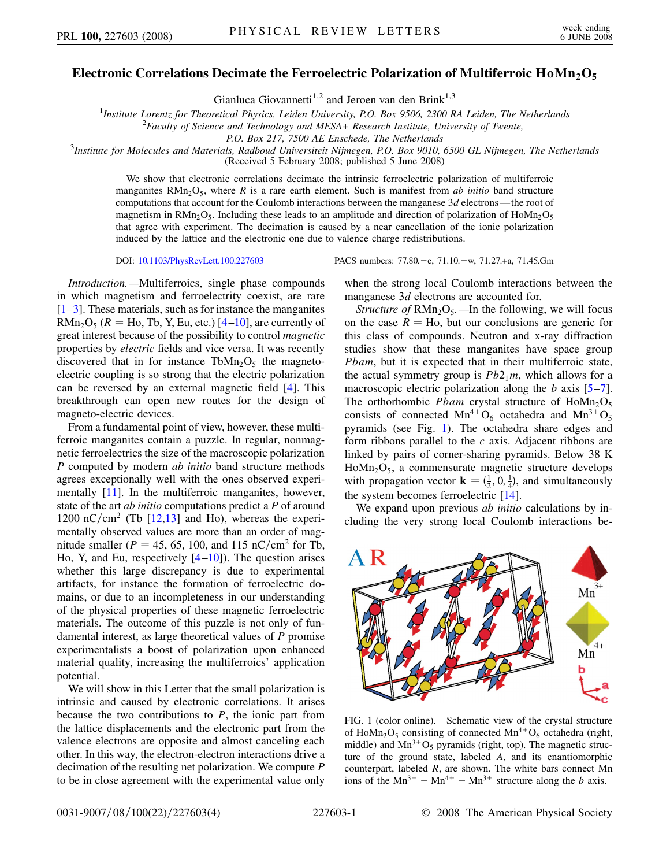## Electronic Correlations Decimate the Ferroelectric Polarization of Multiferroic HoMn<sub>2</sub>O<sub>5</sub>

Gianluca Giovannetti<sup>1,2</sup> and Jeroen van den Brink<sup>1,3</sup>

<sup>1</sup>*Institute Lorentz for Theoretical Physics, Leiden University, P.O. Box 9506, 2300 RA Leiden, The Netherlands* <sup>2</sup><br><sup>2</sup>*Faculty of Science and Technology and MESA+ Besearch Institute University of Twenter* 

*Faculty of Science and Technology and MESA+ Research Institute, University of Twente,*

*P.O. Box 217, 7500 AE Enschede, The Netherlands* <sup>3</sup> *Institute for Molecules and Materials, Radboud Universiteit Nijmegen, P.O. Box 9010, 6500 GL Nijmegen, The Netherlands*

(Received 5 February 2008; published 5 June 2008)

We show that electronic correlations decimate the intrinsic ferroelectric polarization of multiferroic manganites  $RMn_2O_5$ , where *R* is a rare earth element. Such is manifest from *ab initio* band structure computations that account for the Coulomb interactions between the manganese 3*d* electrons—the root of magnetism in  $RMn_2O_5$ . Including these leads to an amplitude and direction of polarization of HoMn<sub>2</sub>O<sub>5</sub>. that agree with experiment. The decimation is caused by a near cancellation of the ionic polarization induced by the lattice and the electronic one due to valence charge redistributions.

*Introduction.—*Multiferroics, single phase compounds in which magnetism and ferroelectrity coexist, are rare  $[1-3]$  $[1-3]$  $[1-3]$ . These materials, such as for instance the manganites  $RMn<sub>2</sub>O<sub>5</sub>$  ( $R = Ho$ , Tb, Y, Eu, etc.) [[4](#page-3-2)[–10\]](#page-3-3), are currently of great interest because of the possibility to control *magnetic* properties by *electric* fields and vice versa. It was recently discovered that in for instance  $TbMn_2O_5$  the magnetoelectric coupling is so strong that the electric polarization can be reversed by an external magnetic field [[4\]](#page-3-2). This breakthrough can open new routes for the design of magneto-electric devices.

From a fundamental point of view, however, these multiferroic manganites contain a puzzle. In regular, nonmagnetic ferroelectrics the size of the macroscopic polarization *P* computed by modern *ab initio* band structure methods agrees exceptionally well with the ones observed experi-mentally [[11](#page-3-4)]. In the multiferroic manganites, however, state of the art *ab initio* computations predict a *P* of around  $1200 \text{ nC/cm}^2$  $1200 \text{ nC/cm}^2$  (Tb  $[12,13]$  $[12,13]$  $[12,13]$  and Ho), whereas the experimentally observed values are more than an order of magnitude smaller ( $P = 45, 65, 100,$  and 115 nC/cm<sup>2</sup> for Tb, Ho, Y, and Eu, respectively  $[4–10]$  $[4–10]$  $[4–10]$  $[4–10]$ ). The question arises whether this large discrepancy is due to experimental artifacts, for instance the formation of ferroelectric domains, or due to an incompleteness in our understanding of the physical properties of these magnetic ferroelectric materials. The outcome of this puzzle is not only of fundamental interest, as large theoretical values of *P* promise experimentalists a boost of polarization upon enhanced material quality, increasing the multiferroics' application potential.

We will show in this Letter that the small polarization is intrinsic and caused by electronic correlations. It arises because the two contributions to *P*, the ionic part from the lattice displacements and the electronic part from the valence electrons are opposite and almost canceling each other. In this way, the electron-electron interactions drive a decimation of the resulting net polarization. We compute *P* to be in close agreement with the experimental value only

DOI: [10.1103/PhysRevLett.100.227603](http://dx.doi.org/10.1103/PhysRevLett.100.227603) PACS numbers: 77.80. - e, 71.10. - w, 71.27.+a, 71.45.Gm

when the strong local Coulomb interactions between the manganese 3*d* electrons are accounted for.

*Structure of* RMn<sub>2</sub>O<sub>5</sub>. —In the following, we will focus on the case  $R =$  Ho, but our conclusions are generic for this class of compounds. Neutron and x-ray diffraction studies show that these manganites have space group *Pbam*, but it is expected that in their multiferroic state, the actual symmetry group is  $Pb2_1m$ , which allows for a macroscopic electric polarization along the *b* axis [\[5](#page-3-7)[–7\]](#page-3-8). The orthorhombic *Pbam* crystal structure of  $H_0Mn_2O_5$ consists of connected  $Mn^{4+}O_6$  octahedra and  $Mn^{3+}O_5$ pyramids (see Fig. [1\)](#page-0-0). The octahedra share edges and form ribbons parallel to the *c* axis. Adjacent ribbons are linked by pairs of corner-sharing pyramids. Below 38 K  $H<sub>0</sub>Mn<sub>2</sub>O<sub>5</sub>$ , a commensurate magnetic structure develops with propagation vector  $\mathbf{k} = (\frac{1}{2}, 0, \frac{1}{4})$ , and simultaneously the system becomes ferroelectric [[14](#page-3-9)].

We expand upon previous *ab initio* calculations by including the very strong local Coulomb interactions be-

<span id="page-0-0"></span>

FIG. 1 (color online). Schematic view of the crystal structure of HoMn<sub>2</sub>O<sub>5</sub> consisting of connected Mn<sup>4+</sup>O<sub>6</sub> octahedra (right, middle) and  $Mn^{3+}O_5$  pyramids (right, top). The magnetic structure of the ground state, labeled *A*, and its enantiomorphic counterpart, labeled *R*, are shown. The white bars connect Mn ions of the  $Mn^{3+} - Mn^{4+} - Mn^{3+}$  structure along the *b* axis.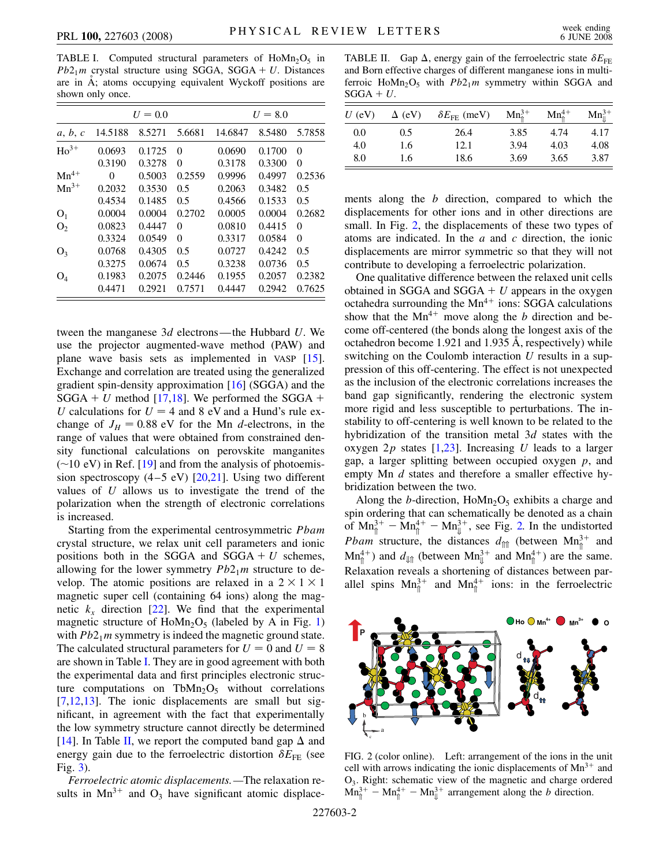<span id="page-1-0"></span>TABLE I. Computed structural parameters of  $H_0Mn_2O_5$  in  $Pb2<sub>1</sub>m$  crystal structure using SGGA, SGGA + U. Distances are in  $\AA$ ; atoms occupying equivalent Wyckoff positions are shown only once.

|                |         | $U=0.0$ |          |         | $U = 8.0$ |          |
|----------------|---------|---------|----------|---------|-----------|----------|
| a, b, c        | 14.5188 | 8.5271  | 5.6681   | 14.6847 | 8.5480    | 5.7858   |
| $Ho^{3+}$      | 0.0693  | 0.1725  | $\Omega$ | 0.0690  | 0.1700    | 0        |
|                | 0.3190  | 0.3278  | $\theta$ | 0.3178  | 0.3300    | 0        |
| $Mn^{4+}$      | 0       | 0.5003  | 0.2559   | 0.9996  | 0.4997    | 0.2536   |
| $Mn^{3+}$      | 0.2032  | 0.3530  | 0.5      | 0.2063  | 0.3482    | 0.5      |
|                | 0.4534  | 0.1485  | 0.5      | 0.4566  | 0.1533    | 0.5      |
| O <sub>1</sub> | 0.0004  | 0.0004  | 0.2702   | 0.0005  | 0.0004    | 0.2682   |
| O <sub>2</sub> | 0.0823  | 0.4447  | $\theta$ | 0.0810  | 0.4415    | 0        |
|                | 0.3324  | 0.0549  | $\theta$ | 0.3317  | 0.0584    | $\Omega$ |
| $O_3$          | 0.0768  | 0.4305  | 0.5      | 0.0727  | 0.4242    | 0.5      |
|                | 0.3275  | 0.0674  | 0.5      | 0.3238  | 0.0736    | 0.5      |
| $O_4$          | 0.1983  | 0.2075  | 0.2446   | 0.1955  | 0.2057    | 0.2382   |
|                | 0.4471  | 0.2921  | 0.7571   | 0.4447  | 0.2942    | 0.7625   |

tween the manganese 3*d* electrons—the Hubbard *U*. We use the projector augmented-wave method (PAW) and plane wave basis sets as implemented in VASP [\[15\]](#page-3-10). Exchange and correlation are treated using the generalized gradient spin-density approximation [\[16](#page-3-11)] (SGGA) and the  $SGGA + U$  method [[17](#page-3-12),[18](#page-3-13)]. We performed the SGGA + *U* calculations for  $U = 4$  and 8 eV and a Hund's rule exchange of  $J_H = 0.88$  eV for the Mn *d*-electrons, in the range of values that were obtained from constrained density functional calculations on perovskite manganites  $(\sim 10 \text{ eV})$  in Ref. [\[19\]](#page-3-14) and from the analysis of photoemission spectroscopy  $(4-5$  eV)  $[20,21]$  $[20,21]$ . Using two different values of *U* allows us to investigate the trend of the polarization when the strength of electronic correlations is increased.

Starting from the experimental centrosymmetric *Pbam* crystal structure, we relax unit cell parameters and ionic positions both in the SGGA and  $SGGA + U$  schemes, allowing for the lower symmetry  $Pb2_1m$  structure to develop. The atomic positions are relaxed in a  $2 \times 1 \times 1$ magnetic super cell (containing 64 ions) along the magnetic  $k_x$  direction [\[22\]](#page-3-17). We find that the experimental magnetic structure of  $HoMn<sub>2</sub>O<sub>5</sub>$  (labeled by A in Fig. [1\)](#page-0-0) with  $Pb2_1m$  symmetry is indeed the magnetic ground state. The calculated structural parameters for  $U = 0$  and  $U = 8$ are shown in Table [I](#page-1-0). They are in good agreement with both the experimental data and first principles electronic structure computations on TbMn<sub>2</sub>O<sub>5</sub> without correlations [\[7,](#page-3-8)[12](#page-3-5)[,13\]](#page-3-6). The ionic displacements are small but significant, in agreement with the fact that experimentally the low symmetry structure cannot directly be determined [\[14\]](#page-3-9). In Table [II](#page-1-1), we report the computed band gap  $\Delta$  and energy gain due to the ferroelectric distortion  $\delta E_{\text{FE}}$  (see Fig. [3\)](#page-2-0).

*Ferroelectric atomic displacements.—*The relaxation results in  $Mn^{3+}$  and  $O_3$  have significant atomic displace-

<span id="page-1-1"></span>TABLE II. Gap  $\Delta$ , energy gain of the ferroelectric state  $\delta E_{\text{FE}}$ and Born effective charges of different manganese ions in multiferroic HoMn<sub>2</sub>O<sub>5</sub> with  $Pb2_1m$  symmetry within SGGA and  $SGGA + U$ .

| $U$ (eV) | $\Delta$ (eV) | $\delta E_{\rm FE}$ (meV) | $Mn_{\hat{p}}^{3+}$ | $Mn_{\hat{p}}^{4+}$ | $Mn_{\parallel}^{3+}$ |
|----------|---------------|---------------------------|---------------------|---------------------|-----------------------|
| 0.0      | 0.5           | 26.4                      | 3.85                | 4.74                | 4.17                  |
| 4.0      | 1.6           | 12.1                      | 3.94                | 4.03                | 4.08                  |
| 8.0      | 1.6           | 18.6                      | 3.69                | 3.65                | 3.87                  |

ments along the *b* direction, compared to which the displacements for other ions and in other directions are small. In Fig. [2](#page-1-2), the displacements of these two types of atoms are indicated. In the *a* and *c* direction, the ionic displacements are mirror symmetric so that they will not contribute to developing a ferroelectric polarization.

One qualitative difference between the relaxed unit cells obtained in SGGA and  $SGGA + U$  appears in the oxygen octahedra surrounding the  $Mn^{4+}$  ions: SGGA calculations show that the  $Mn^{4+}$  move along the *b* direction and become off-centered (the bonds along the longest axis of the octahedron become 1.921 and 1.935 A, respectively) while switching on the Coulomb interaction *U* results in a suppression of this off-centering. The effect is not unexpected as the inclusion of the electronic correlations increases the band gap significantly, rendering the electronic system more rigid and less susceptible to perturbations. The instability to off-centering is well known to be related to the hybridization of the transition metal 3*d* states with the oxygen 2*p* states [[1](#page-3-0),[23](#page-3-18)]. Increasing *U* leads to a larger gap, a larger splitting between occupied oxygen *p*, and empty Mn *d* states and therefore a smaller effective hybridization between the two.

Along the *b*-direction,  $H \text{oMn}_2\text{O}_5$  exhibits a charge and spin ordering that can schematically be denoted as a chain of  $\text{Mn}_{\uparrow}^{3+} - \text{Mn}_{\uparrow}^{4+} - \text{Mn}_{\downarrow}^{3+}$ , see Fig. [2.](#page-1-2) In the undistorted *Pbam* structure, the distances  $d_{\text{inf}}$  (between Mn<sub>1</sub><sup>3+</sup> and  $Mn_{\uparrow}^{4+}$ ) and  $d_{\downarrow\downarrow\uparrow}$  (between  $Mn_{\downarrow}^{3+}$  and  $Mn_{\uparrow}^{4+}$ ) are the same. Relaxation reveals a shortening of distances between parallel spins  $Mn_{\hat{I}}^{3+}$  and  $Mn_{\hat{I}}^{4+}$  ions: in the ferroelectric

<span id="page-1-2"></span>

FIG. 2 (color online). Left: arrangement of the ions in the unit cell with arrows indicating the ionic displacements of  $Mn^{3+}$  and O3. Right: schematic view of the magnetic and charge ordered  $Mn_{\hat{I}}^{3+} - Mn_{\hat{I}}^{4+} - Mn_{\hat{I}}^{3+}$  arrangement along the *b* direction.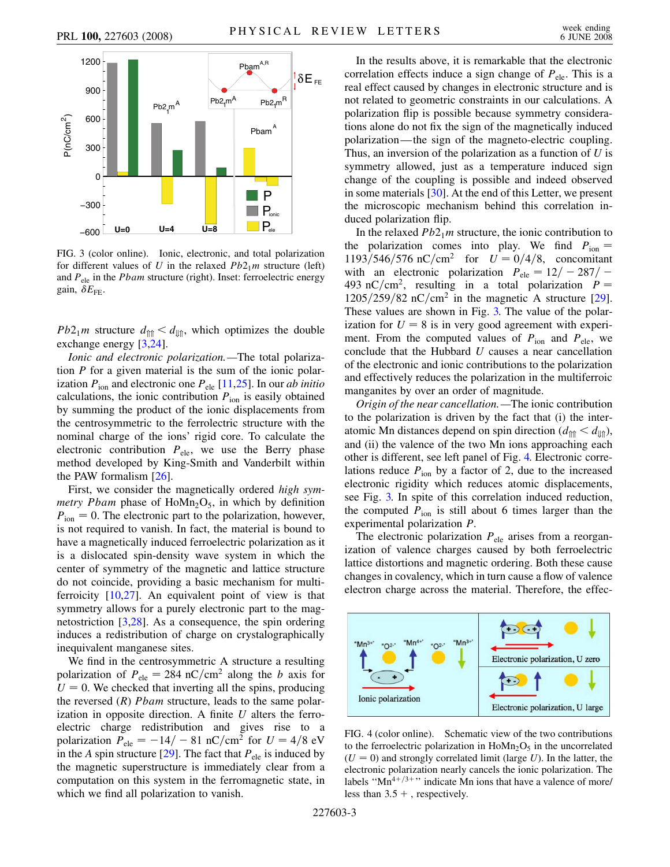<span id="page-2-0"></span>

FIG. 3 (color online). Ionic, electronic, and total polarization for different values of *U* in the relaxed  $Pb2_1m$  structure (left) and *P*ele in the *Pbam* structure (right). Inset: ferroelectric energy gain,  $\delta E_{\text{FE}}$ .

*Pb*2<sub>1</sub>*m* structure  $d_{\text{min}} < d_{\text{min}}$ , which optimizes the double exchange energy [\[3,](#page-3-1)[24\]](#page-3-19).

*Ionic and electronic polarization.—*The total polarization *P* for a given material is the sum of the ionic polarization  $P_{\text{ion}}$  and electronic one  $P_{\text{ele}}$  [[11](#page-3-4),[25](#page-3-20)]. In our *ab initio* calculations, the ionic contribution  $P_{\text{ion}}$  is easily obtained by summing the product of the ionic displacements from the centrosymmetric to the ferrolectric structure with the nominal charge of the ions' rigid core. To calculate the electronic contribution  $P_{ele}$ , we use the Berry phase method developed by King-Smith and Vanderbilt within the PAW formalism [[26](#page-3-21)].

First, we consider the magnetically ordered *high symmetry Pbam* phase of  $Hom_{2O_5}$ , in which by definition  $P_{\text{ion}} = 0$ . The electronic part to the polarization, however, is not required to vanish. In fact, the material is bound to have a magnetically induced ferroelectric polarization as it is a dislocated spin-density wave system in which the center of symmetry of the magnetic and lattice structure do not coincide, providing a basic mechanism for multiferroicity [[10](#page-3-3)[,27](#page-3-22)]. An equivalent point of view is that symmetry allows for a purely electronic part to the magnetostriction [[3,](#page-3-1)[28\]](#page-3-23). As a consequence, the spin ordering induces a redistribution of charge on crystalographically inequivalent manganese sites.

We find in the centrosymmetric A structure a resulting polarization of  $P_{ele} = 284$  nC/cm<sup>2</sup> along the *b* axis for  $U = 0$ . We checked that inverting all the spins, producing the reversed (*R*) *Pbam* structure, leads to the same polarization in opposite direction. A finite *U* alters the ferroelectric charge redistribution and gives rise to a polarization  $P_{ele} = -14/- 81$  nC/cm<sup>2</sup> for  $U = 4/8$  eV in the *A* spin structure [\[29\]](#page-3-24). The fact that  $P_{ele}$  is induced by the magnetic superstructure is immediately clear from a computation on this system in the ferromagnetic state, in which we find all polarization to vanish.

In the results above, it is remarkable that the electronic correlation effects induce a sign change of  $P_{ele}$ . This is a real effect caused by changes in electronic structure and is not related to geometric constraints in our calculations. A polarization flip is possible because symmetry considerations alone do not fix the sign of the magnetically induced polarization—the sign of the magneto-electric coupling. Thus, an inversion of the polarization as a function of *U* is symmetry allowed, just as a temperature induced sign change of the coupling is possible and indeed observed in some materials [[30](#page-3-25)]. At the end of this Letter, we present the microscopic mechanism behind this correlation induced polarization flip.

In the relaxed  $Pb2_1m$  structure, the ionic contribution to the polarization comes into play. We find  $P_{\text{ion}} =$  $1193/546/576$  nC/cm<sup>2</sup> for  $U = 0/4/8$ , concomitant with an electronic polarization  $P_{ele} = 12/ - 287/ -$ 493 nC/cm<sup>2</sup>, resulting in a total polarization  $P =$  $1205/259/82$  nC/cm<sup>2</sup> in the magnetic A structure [[29\]](#page-3-24). These values are shown in Fig. [3.](#page-2-0) The value of the polarization for  $U = 8$  is in very good agreement with experiment. From the computed values of  $P_{\text{ion}}$  and  $P_{\text{ele}}$ , we conclude that the Hubbard *U* causes a near cancellation of the electronic and ionic contributions to the polarization and effectively reduces the polarization in the multiferroic manganites by over an order of magnitude.

*Origin of the near cancellation.—*The ionic contribution to the polarization is driven by the fact that (i) the interatomic Mn distances depend on spin direction ( $d_{\text{int}} < d_{\text{min}}$ ), and (ii) the valence of the two Mn ions approaching each other is different, see left panel of Fig. [4.](#page-2-1) Electronic correlations reduce  $P_{\text{ion}}$  by a factor of 2, due to the increased electronic rigidity which reduces atomic displacements, see Fig. [3.](#page-2-0) In spite of this correlation induced reduction, the computed  $P_{\text{ion}}$  is still about 6 times larger than the experimental polarization *P*.

The electronic polarization  $P_{ele}$  arises from a reorganization of valence charges caused by both ferroelectric lattice distortions and magnetic ordering. Both these cause changes in covalency, which in turn cause a flow of valence electron charge across the material. Therefore, the effec-

<span id="page-2-1"></span>

FIG. 4 (color online). Schematic view of the two contributions to the ferroelectric polarization in  $H \circ Mn<sub>2</sub>O<sub>5</sub>$  in the uncorrelated  $(U = 0)$  and strongly correlated limit (large *U*). In the latter, the electronic polarization nearly cancels the ionic polarization. The labels " $Mn^{4+/3+}$ " indicate Mn ions that have a valence of more/ less than  $3.5 +$ , respectively.